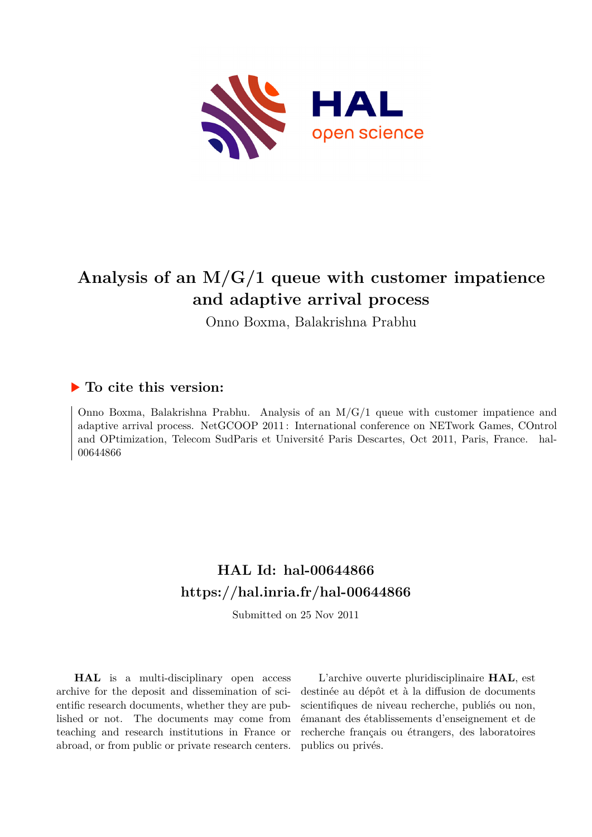

# **Analysis of an M/G/1 queue with customer impatience and adaptive arrival process**

Onno Boxma, Balakrishna Prabhu

# **To cite this version:**

Onno Boxma, Balakrishna Prabhu. Analysis of an M/G/1 queue with customer impatience and adaptive arrival process. NetGCOOP 2011 : International conference on NETwork Games, COntrol and OPtimization, Telecom SudParis et Université Paris Descartes, Oct 2011, Paris, France. hal-00644866

# **HAL Id: hal-00644866 <https://hal.inria.fr/hal-00644866>**

Submitted on 25 Nov 2011

**HAL** is a multi-disciplinary open access archive for the deposit and dissemination of scientific research documents, whether they are published or not. The documents may come from teaching and research institutions in France or abroad, or from public or private research centers.

L'archive ouverte pluridisciplinaire **HAL**, est destinée au dépôt et à la diffusion de documents scientifiques de niveau recherche, publiés ou non, émanant des établissements d'enseignement et de recherche français ou étrangers, des laboratoires publics ou privés.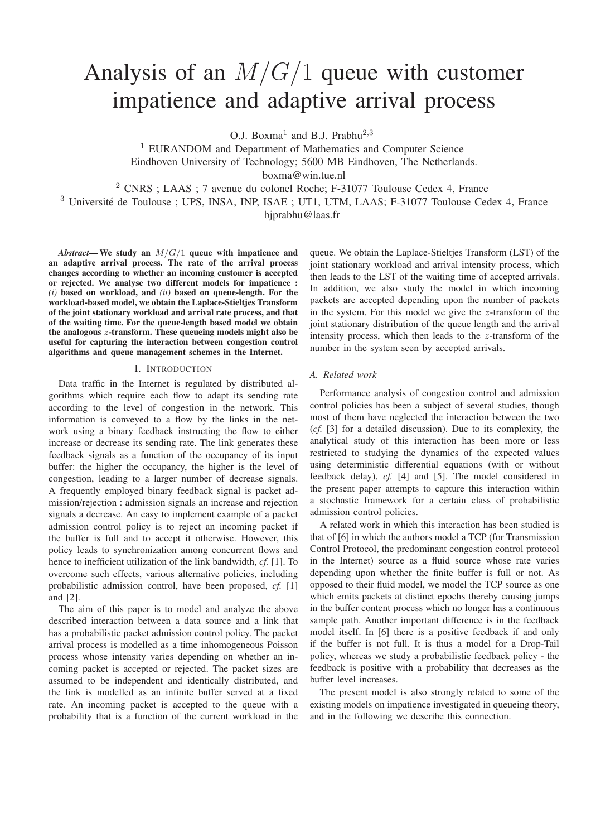# Analysis of an  $M/G/1$  queue with customer impatience and adaptive arrival process

O.J. Boxma<sup>1</sup> and B.J. Prabhu<sup>2,3</sup>

<sup>1</sup> EURANDOM and Department of Mathematics and Computer Science Eindhoven University of Technology; 5600 MB Eindhoven, The Netherlands. boxma@win.tue.nl

<sup>2</sup> CNRS ; LAAS ; 7 avenue du colonel Roche; F-31077 Toulouse Cedex 4, France

<sup>3</sup> Université de Toulouse ; UPS, INSA, INP, ISAE ; UT1, UTM, LAAS; F-31077 Toulouse Cedex 4, France bjprabhu@laas.fr

*Abstract*— We study an M/G/1 queue with impatience and an adaptive arrival process. The rate of the arrival process changes according to whether an incoming customer is accepted or rejected. We analyse two different models for impatience : *(i)* based on workload, and *(ii)* based on queue-length. For the workload-based model, we obtain the Laplace-Stieltjes Transform of the joint stationary workload and arrival rate process, and that of the waiting time. For the queue-length based model we obtain the analogous z-transform. These queueing models might also be useful for capturing the interaction between congestion control algorithms and queue management schemes in the Internet.

## I. INTRODUCTION

Data traffic in the Internet is regulated by distributed algorithms which require each flow to adapt its sending rate according to the level of congestion in the network. This information is conveyed to a flow by the links in the network using a binary feedback instructing the flow to either increase or decrease its sending rate. The link generates these feedback signals as a function of the occupancy of its input buffer: the higher the occupancy, the higher is the level of congestion, leading to a larger number of decrease signals. A frequently employed binary feedback signal is packet admission/rejection : admission signals an increase and rejection signals a decrease. An easy to implement example of a packet admission control policy is to reject an incoming packet if the buffer is full and to accept it otherwise. However, this policy leads to synchronization among concurrent flows and hence to inefficient utilization of the link bandwidth, *cf.* [1]. To overcome such effects, various alternative policies, including probabilistic admission control, have been proposed, *cf.* [1] and [2].

The aim of this paper is to model and analyze the above described interaction between a data source and a link that has a probabilistic packet admission control policy. The packet arrival process is modelled as a time inhomogeneous Poisson process whose intensity varies depending on whether an incoming packet is accepted or rejected. The packet sizes are assumed to be independent and identically distributed, and the link is modelled as an infinite buffer served at a fixed rate. An incoming packet is accepted to the queue with a probability that is a function of the current workload in the

queue. We obtain the Laplace-Stieltjes Transform (LST) of the joint stationary workload and arrival intensity process, which then leads to the LST of the waiting time of accepted arrivals. In addition, we also study the model in which incoming packets are accepted depending upon the number of packets in the system. For this model we give the  $z$ -transform of the joint stationary distribution of the queue length and the arrival intensity process, which then leads to the  $z$ -transform of the number in the system seen by accepted arrivals.

# *A. Related work*

Performance analysis of congestion control and admission control policies has been a subject of several studies, though most of them have neglected the interaction between the two (*cf.* [3] for a detailed discussion). Due to its complexity, the analytical study of this interaction has been more or less restricted to studying the dynamics of the expected values using deterministic differential equations (with or without feedback delay), *cf.* [4] and [5]. The model considered in the present paper attempts to capture this interaction within a stochastic framework for a certain class of probabilistic admission control policies.

A related work in which this interaction has been studied is that of [6] in which the authors model a TCP (for Transmission Control Protocol, the predominant congestion control protocol in the Internet) source as a fluid source whose rate varies depending upon whether the finite buffer is full or not. As opposed to their fluid model, we model the TCP source as one which emits packets at distinct epochs thereby causing jumps in the buffer content process which no longer has a continuous sample path. Another important difference is in the feedback model itself. In [6] there is a positive feedback if and only if the buffer is not full. It is thus a model for a Drop-Tail policy, whereas we study a probabilistic feedback policy - the feedback is positive with a probability that decreases as the buffer level increases.

The present model is also strongly related to some of the existing models on impatience investigated in queueing theory, and in the following we describe this connection.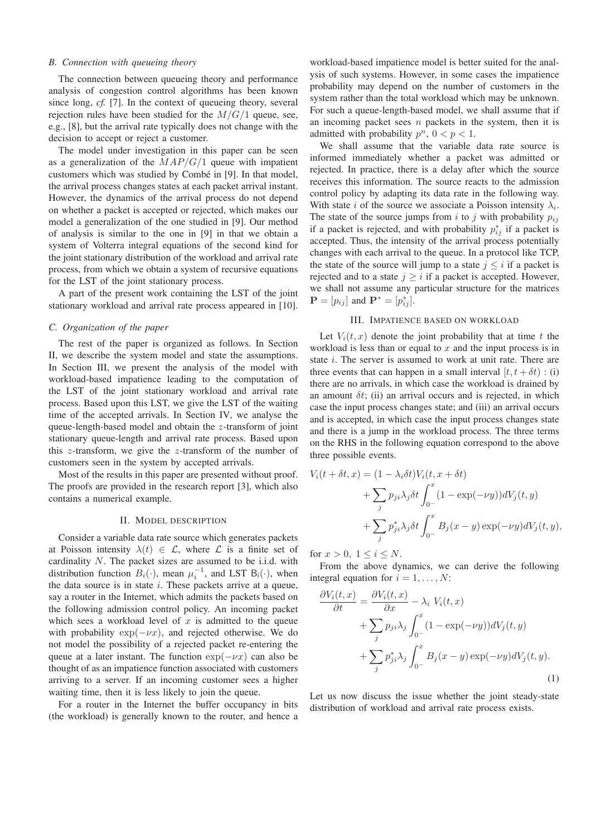## *B. Connection with queueing theory*

The connection between queueing theory and performance analysis of congestion control algorithms has been known since long, *cf.* [7]. In the context of queueing theory, several rejection rules have been studied for the  $M/G/1$  queue, see, e.g., [8], but the arrival rate typically does not change with the decision to accept or reject a customer.

The model under investigation in this paper can be seen as a generalization of the  $MAP/G/1$  queue with impatient customers which was studied by Combé in [9]. In that model, the arrival process changes states at each packet arrival instant. However, the dynamics of the arrival process do not depend on whether a packet is accepted or rejected, which makes our model a generalization of the one studied in [9]. Our method of analysis is similar to the one in [9] in that we obtain a system of Volterra integral equations of the second kind for the joint stationary distribution of the workload and arrival rate process, from which we obtain a system of recursive equations for the LST of the joint stationary process.

A part of the present work containing the LST of the joint stationary workload and arrival rate process appeared in [10].

# *C. Organization of the paper*

The rest of the paper is organized as follows. In Section II, we describe the system model and state the assumptions. In Section III, we present the analysis of the model with workload-based impatience leading to the computation of the LST of the joint stationary workload and arrival rate process. Based upon this LST, we give the LST of the waiting time of the accepted arrivals. In Section IV, we analyse the queue-length-based model and obtain the z-transform of joint stationary queue-length and arrival rate process. Based upon this  $z$ -transform, we give the  $z$ -transform of the number of customers seen in the system by accepted arrivals.

Most of the results in this paper are presented without proof. The proofs are provided in the research report [3], which also contains a numerical example.

#### II. MODEL DESCRIPTION

Consider a variable data rate source which generates packets at Poisson intensity  $\lambda(t) \in \mathcal{L}$ , where  $\mathcal{L}$  is a finite set of cardinality N. The packet sizes are assumed to be i.i.d. with distribution function  $B_i(\cdot)$ , mean  $\mu_i^{-1}$ , and LST  $B_i(\cdot)$ , when the data source is in state  $i$ . These packets arrive at a queue, say a router in the Internet, which admits the packets based on the following admission control policy. An incoming packet which sees a workload level of  $x$  is admitted to the queue with probability  $exp(-\nu x)$ , and rejected otherwise. We do not model the possibility of a rejected packet re-entering the queue at a later instant. The function  $exp(-\nu x)$  can also be thought of as an impatience function associated with customers arriving to a server. If an incoming customer sees a higher waiting time, then it is less likely to join the queue.

For a router in the Internet the buffer occupancy in bits (the workload) is generally known to the router, and hence a workload-based impatience model is better suited for the analysis of such systems. However, in some cases the impatience probability may depend on the number of customers in the system rather than the total workload which may be unknown. For such a queue-length-based model, we shall assume that if an incoming packet sees  $n$  packets in the system, then it is admitted with probability  $p^n$ ,  $0 < p < 1$ .

We shall assume that the variable data rate source is informed immediately whether a packet was admitted or rejected. In practice, there is a delay after which the source receives this information. The source reacts to the admission control policy by adapting its data rate in the following way. With state *i* of the source we associate a Poisson intensity  $\lambda_i$ . The state of the source jumps from i to j with probability  $p_{ij}$ if a packet is rejected, and with probability  $p_{ij}^*$  if a packet is accepted. Thus, the intensity of the arrival process potentially changes with each arrival to the queue. In a protocol like TCP, the state of the source will jump to a state  $j \leq i$  if a packet is rejected and to a state  $j \geq i$  if a packet is accepted. However, we shall not assume any particular structure for the matrices  $\mathbf{P} = [p_{ij}]$  and  $\mathbf{P}^* = [p_{ij}^*]$ .

## III. IMPATIENCE BASED ON WORKLOAD

Let  $V_i(t, x)$  denote the joint probability that at time t the workload is less than or equal to  $x$  and the input process is in state *i*. The server is assumed to work at unit rate. There are three events that can happen in a small interval  $[t, t + \delta t)$ : (i) there are no arrivals, in which case the workload is drained by an amount  $\delta t$ ; (ii) an arrival occurs and is rejected, in which case the input process changes state; and (iii) an arrival occurs and is accepted, in which case the input process changes state and there is a jump in the workload process. The three terms on the RHS in the following equation correspond to the above three possible events.

$$
V_i(t + \delta t, x) = (1 - \lambda_i \delta t) V_i(t, x + \delta t)
$$
  
+ 
$$
\sum_j p_{ji} \lambda_j \delta t \int_{0-}^x (1 - \exp(-\nu y)) dV_j(t, y)
$$
  
+ 
$$
\sum_j p_{ji}^* \lambda_j \delta t \int_{0-}^x B_j(x - y) \exp(-\nu y) dV_j(t, y),
$$

for  $x > 0$ ,  $1 \le i \le N$ .

From the above dynamics, we can derive the following integral equation for  $i = 1, \ldots, N$ :

$$
\frac{\partial V_i(t, x)}{\partial t} = \frac{\partial V_i(t, x)}{\partial x} - \lambda_i V_i(t, x) \n+ \sum_j p_{ji} \lambda_j \int_{0^-}^x (1 - \exp(-\nu y)) dV_j(t, y) \n+ \sum_j p_{ji}^* \lambda_j \int_{0^-}^x B_j(x - y) \exp(-\nu y) dV_j(t, y).
$$
\n(1)

Let us now discuss the issue whether the joint steady-state distribution of workload and arrival rate process exists.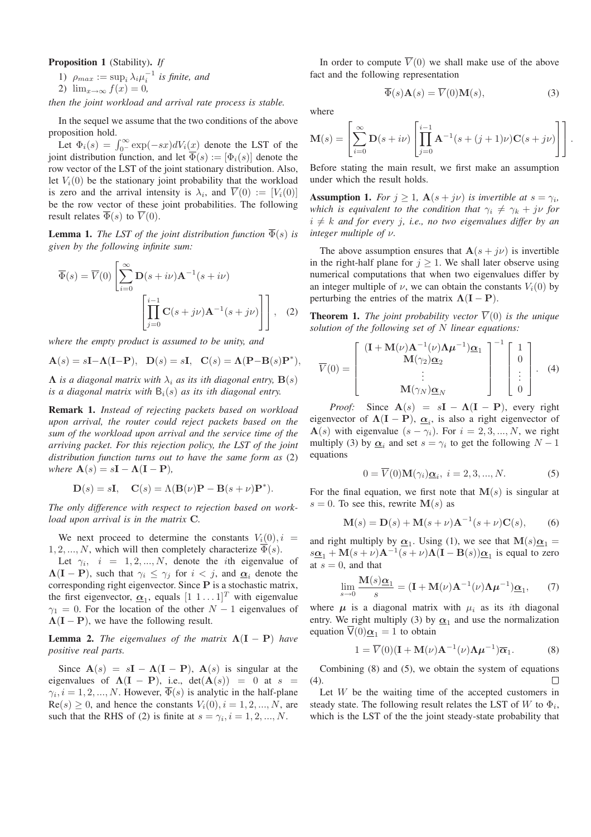# Proposition 1 (Stability). *If*

1)  $\rho_{max} := \sup_i \lambda_i \mu_i^{-1}$  is finite, and

2) 
$$
\lim_{x \to \infty} f(x) = 0,
$$

*then the joint workload and arrival rate process is stable.*

In the sequel we assume that the two conditions of the above proposition hold.

Let  $\Phi_i(s) = \int_0^\infty \exp(-sx) dV_i(x)$  denote the LST of the joint distribution function, and let  $\overline{\Phi}(s) := [\Phi_i(s)]$  denote the row vector of the LST of the joint stationary distribution. Also, let  $V_i(0)$  be the stationary joint probability that the workload is zero and the arrival intensity is  $\lambda_i$ , and  $V(0) := [V_i(0)]$ be the row vector of these joint probabilities. The following result relates  $\Phi(s)$  to  $V(0)$ .

**Lemma 1.** *The LST of the joint distribution function*  $\overline{\Phi}(s)$  *is given by the following infinite sum:*

$$
\overline{\Phi}(s) = \overline{V}(0) \left[ \sum_{i=0}^{\infty} \mathbf{D}(s + i\nu) \mathbf{A}^{-1}(s + i\nu) \right]
$$

$$
\left[ \prod_{j=0}^{i-1} \mathbf{C}(s + j\nu) \mathbf{A}^{-1}(s + j\nu) \right], \quad (2)
$$

*where the empty product is assumed to be unity, and*

$$
\mathbf{A}(s) = s\mathbf{I} - \mathbf{\Lambda}(\mathbf{I} - \mathbf{P}), \quad \mathbf{D}(s) = s\mathbf{I}, \quad \mathbf{C}(s) = \mathbf{\Lambda}(\mathbf{P} - \mathbf{B}(s)\mathbf{P}^*),
$$

 $\Lambda$  *is a diagonal matrix with*  $\lambda_i$  *as its ith diagonal entry,*  $\mathbf{B}(s)$ *is a diagonal matrix with*  $B_i(s)$  *as its ith diagonal entry.* 

Remark 1. *Instead of rejecting packets based on workload upon arrival, the router could reject packets based on the sum of the workload upon arrival and the service time of the arriving packet. For this rejection policy, the LST of the joint distribution function turns out to have the same form as* (2) *where*  $\mathbf{A}(s) = s\mathbf{I} - \mathbf{\Lambda}(\mathbf{I} - \mathbf{P})$ *,* 

$$
\mathbf{D}(s) = s\mathbf{I}, \quad \mathbf{C}(s) = \Lambda(\mathbf{B}(\nu)\mathbf{P} - \mathbf{B}(s+\nu)\mathbf{P}^*).
$$

*The only difference with respect to rejection based on workload upon arrival is in the matrix* C*.*

We next proceed to determine the constants  $V_i(0)$ ,  $i =$ 1, 2, ..., N, which will then completely characterize  $\overline{\Phi}(s)$ .

Let  $\gamma_i$ ,  $i = 1, 2, ..., N$ , denote the *i*th eigenvalue of  $\Lambda (I - P)$ , such that  $\gamma_i \leq \gamma_j$  for  $i < j$ , and  $\underline{\alpha}_i$  denote the corresponding right eigenvector. Since P is a stochastic matrix, the first eigenvector,  $\underline{\alpha}_1$ , equals  $[1 \ 1 \dots 1]^T$  with eigenvalue  $\gamma_1 = 0$ . For the location of the other  $N - 1$  eigenvalues of  $\Lambda (I - P)$ , we have the following result.

**Lemma 2.** *The eigenvalues of the matrix*  $\Lambda (I - P)$  *have positive real parts.*

Since  $A(s) = sI - \Lambda(I - P)$ ,  $A(s)$  is singular at the eigenvalues of  $\Lambda (I - P)$ , i.e.,  $det(A(s)) = 0$  at  $s =$  $\gamma_i$ ,  $i = 1, 2, ..., N$ . However,  $\Phi(s)$  is analytic in the half-plane  $\text{Re}(s) \geq 0$ , and hence the constants  $V_i(0), i = 1, 2, ..., N$ , are such that the RHS of (2) is finite at  $s = \gamma_i, i = 1, 2, ..., N$ .

In order to compute  $\overline{V}(0)$  we shall make use of the above fact and the following representation

 $\overline{\Phi}(s) \mathbf{A}(s) = \overline{V}(0) \mathbf{M}(s),$  (3)

where

$$
\mathbf{M}(s) = \left[ \sum_{i=0}^{\infty} \mathbf{D}(s + i\nu) \left[ \prod_{j=0}^{i-1} \mathbf{A}^{-1}(s + (j+1)\nu) \mathbf{C}(s + j\nu) \right] \right].
$$

Before stating the main result, we first make an assumption under which the result holds.

**Assumption 1.** *For*  $j \geq 1$ ,  $\mathbf{A}(s + j\nu)$  *is invertible at*  $s = \gamma_i$ , *which is equivalent to the condition that*  $\gamma_i \neq \gamma_k + j\nu$  *for*  $i \neq k$  and for every j, i.e., no two eigenvalues differ by an *integer multiple of* ν*.*

The above assumption ensures that  $\mathbf{A}(s + j\nu)$  is invertible in the right-half plane for  $j \geq 1$ . We shall later observe using numerical computations that when two eigenvalues differ by an integer multiple of  $\nu$ , we can obtain the constants  $V_i(0)$  by perturbing the entries of the matrix  $\Lambda (I - P)$ .

**Theorem 1.** *The joint probability vector*  $\overline{V}(0)$  *is the unique solution of the following set of* N *linear equations:*

$$
\overline{V}(0) = \begin{bmatrix} (\mathbf{I} + \mathbf{M}(\nu)\mathbf{A}^{-1}(\nu)\mathbf{\Lambda}\mu^{-1})\underline{\alpha}_1 \\ \mathbf{M}(\gamma_2)\underline{\alpha}_2 \\ \vdots \\ \mathbf{M}(\gamma_N)\underline{\alpha}_N \end{bmatrix}^{-1} \begin{bmatrix} 1 \\ 0 \\ \vdots \\ 0 \end{bmatrix} . \quad (4)
$$

*Proof:* Since  $A(s) = sI - \Lambda(I - P)$ , every right eigenvector of  $\Lambda (I - P)$ ,  $\underline{\alpha}_i$ , is also a right eigenvector of  $A(s)$  with eigenvalue  $(s - \gamma_i)$ . For  $i = 2, 3, ..., N$ , we right multiply (3) by  $\underline{\alpha}_i$  and set  $s = \gamma_i$  to get the following  $N - 1$ equations

$$
0 = \overline{V}(0) \mathbf{M}(\gamma_i) \underline{\alpha}_i, \ i = 2, 3, ..., N. \tag{5}
$$

For the final equation, we first note that  $M(s)$  is singular at  $s = 0$ . To see this, rewrite  $\mathbf{M}(s)$  as

$$
\mathbf{M}(s) = \mathbf{D}(s) + \mathbf{M}(s+\nu)\mathbf{A}^{-1}(s+\nu)\mathbf{C}(s),\qquad(6)
$$

and right multiply by  $\underline{\alpha}_1$ . Using (1), we see that  $M(s)\underline{\alpha}_1 =$  $s\mathbf{a}_1 + \mathbf{M}(s+v)\mathbf{A}^{-1}(s+v)\mathbf{\Lambda}(\mathbf{I}-\mathbf{B}(s))\mathbf{a}_1$  is equal to zero at  $s = 0$ , and that

$$
\lim_{s \to 0} \frac{\mathbf{M}(s)\underline{\alpha}_1}{s} = (\mathbf{I} + \mathbf{M}(\nu)\mathbf{A}^{-1}(\nu)\Lambda \mu^{-1})\underline{\alpha}_1, \quad (7)
$$

where  $\mu$  is a diagonal matrix with  $\mu_i$  as its *i*th diagonal entry. We right multiply (3) by  $\underline{\alpha}_1$  and use the normalization equation  $\overline{V}(0)\underline{\alpha}_1 = 1$  to obtain

$$
1 = \overline{V}(0)(\mathbf{I} + \mathbf{M}(\nu)\mathbf{A}^{-1}(\nu)\mathbf{\Lambda}\boldsymbol{\mu}^{-1})\overline{\boldsymbol{\alpha}}_1.
$$
 (8)

Combining (8) and (5), we obtain the system of equations  $(4)$ .

Let  $W$  be the waiting time of the accepted customers in steady state. The following result relates the LST of W to  $\Phi_i$ , which is the LST of the the joint steady-state probability that